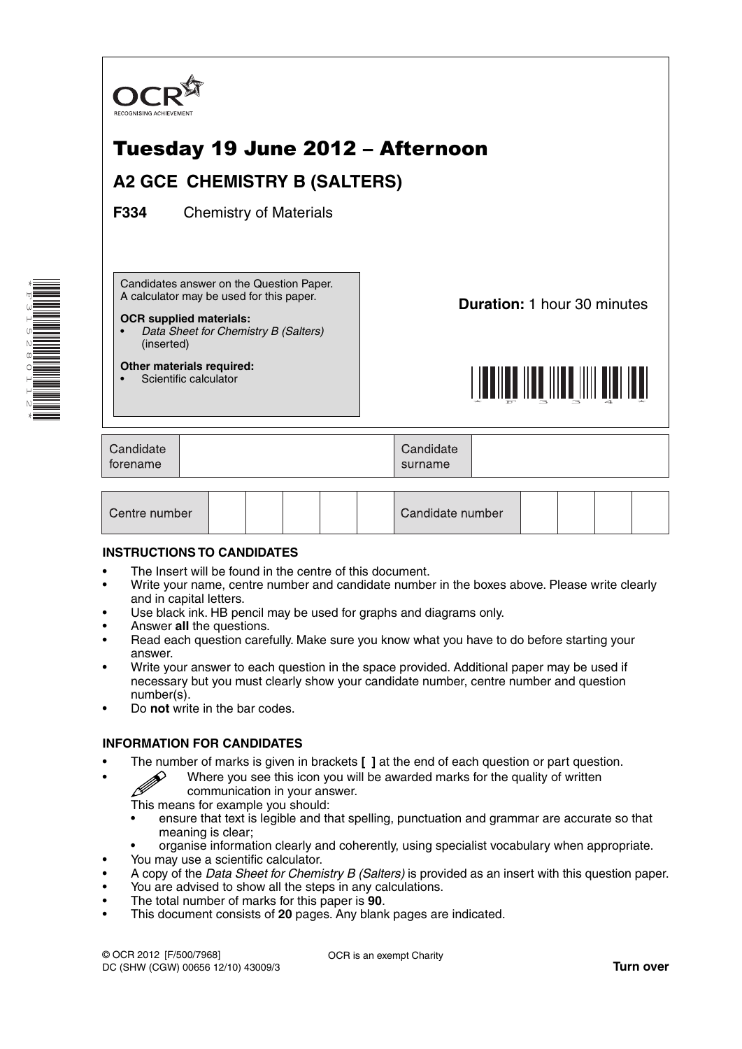

| Centre number |  |  |  |  |  | Candidate number |  |  |  |  |  |
|---------------|--|--|--|--|--|------------------|--|--|--|--|--|
|---------------|--|--|--|--|--|------------------|--|--|--|--|--|

### **INSTRUCTIONS TO CANDIDATES**

\*F315280112\*

- The Insert will be found in the centre of this document.
- Write your name, centre number and candidate number in the boxes above. Please write clearly and in capital letters.
- Use black ink. HB pencil may be used for graphs and diagrams only.
- Answer **all** the questions.
- Read each question carefully. Make sure you know what you have to do before starting your answer.
- Write your answer to each question in the space provided. Additional paper may be used if necessary but you must clearly show your candidate number, centre number and question number(s).
- Do **not** write in the bar codes.

### **INFORMATION FOR CANDIDATES**

- 
- The number of marks is given in brackets **[ ]** at the end of each question or part question.<br>Where you see this icon you will be awarded marks for the quality of written communication in your ancuration • Where you see this icon you will be awarded marks for the quality of written communication in your answer.
	- This means for example you should:
	- ensure that text is legible and that spelling, punctuation and grammar are accurate so that meaning is clear;
	- organise information clearly and coherently, using specialist vocabulary when appropriate.
- You may use a scientific calculator.
- A copy of the *Data Sheet for Chemistry B (Salters)* is provided as an insert with this question paper.
- You are advised to show all the steps in any calculations.
- The total number of marks for this paper is **90**.
- This document consists of **20** pages. Any blank pages are indicated.

OCR is an exempt Charity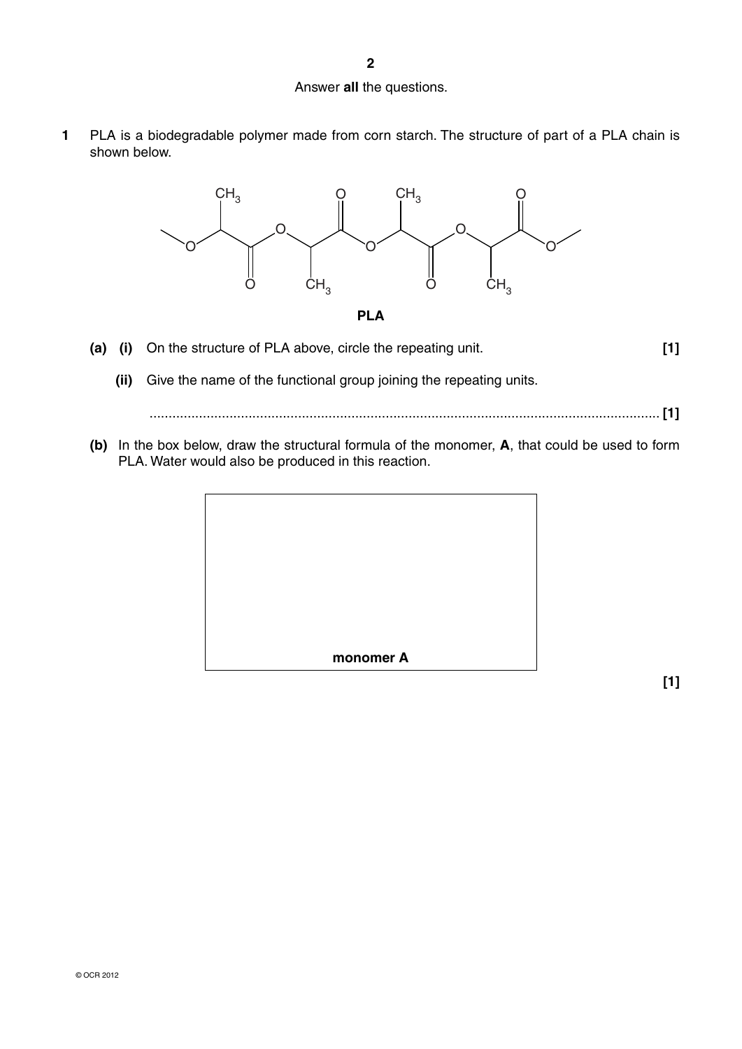### Answer **all** the questions.

**1** PLA is a biodegradable polymer made from corn starch. The structure of part of a PLA chain is shown below.





- **(a) (i)** On the structure of PLA above, circle the repeating unit. **[1]**
	- **(ii)** Give the name of the functional group joining the repeating units.

...................................................................................................................................... **[1]**

 **(b)** In the box below, draw the structural formula of the monomer, **A**, that could be used to form PLA. Water would also be produced in this reaction.



**[1]**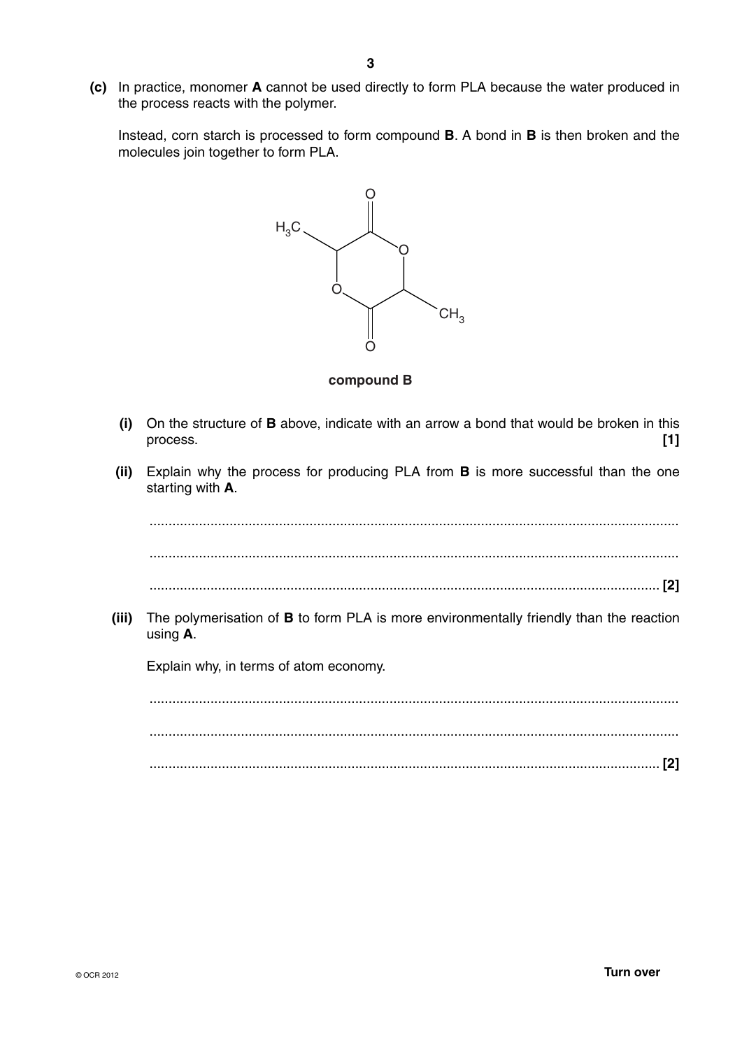**(c)** In practice, monomer **A** cannot be used directly to form PLA because the water produced in the process reacts with the polymer.

Instead, corn starch is processed to form compound **B**. A bond in **B** is then broken and the molecules join together to form PLA.



### **compound B**

- **(i)** On the structure of **B** above, indicate with an arrow a bond that would be broken in this process. **[1]**
- **(ii)** Explain why the process for producing PLA from **B** is more successful than the one starting with **A**.

...........................................................................................................................................

...........................................................................................................................................

- ...................................................................................................................................... **[2]**
- **(iii)** The polymerisation of **B** to form PLA is more environmentally friendly than the reaction using **A**.

Explain why, in terms of atom economy.

 ........................................................................................................................................... ........................................................................................................................................... ...................................................................................................................................... **[2]**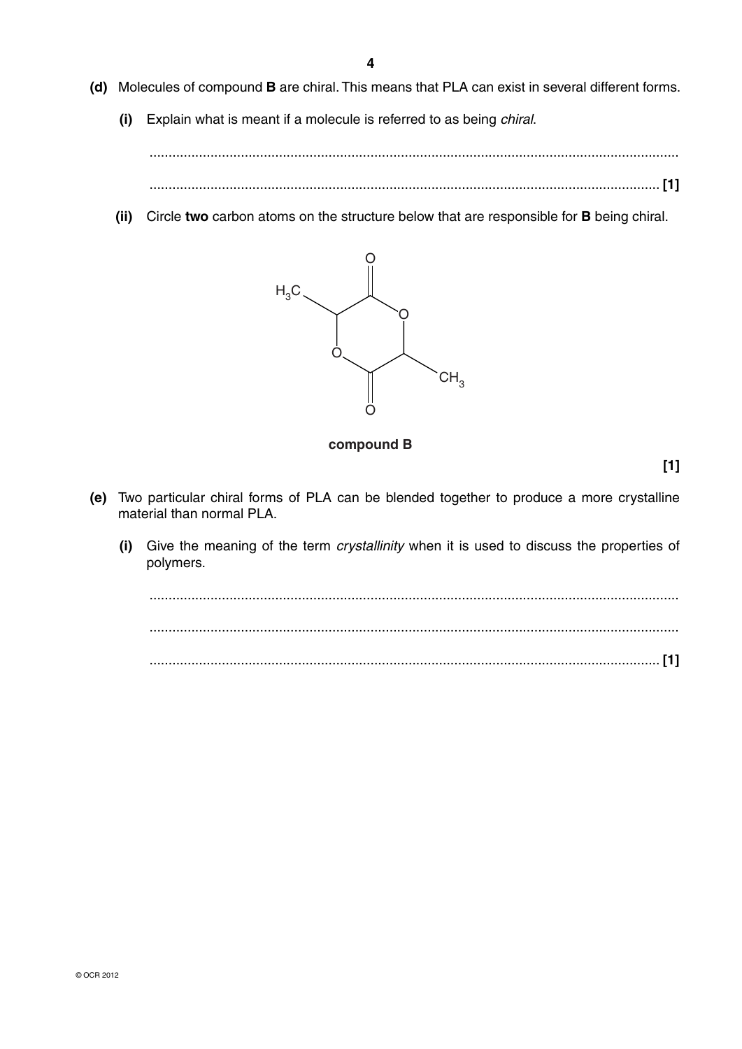**4**

- **(d)** Molecules of compound **B** are chiral. This means that PLA can exist in several different forms.
	- **(i)** Explain what is meant if a molecule is referred to as being *chiral*.

 ........................................................................................................................................... ...................................................................................................................................... **[1]**

 **(ii)** Circle **two** carbon atoms on the structure below that are responsible for **B** being chiral.



**compound B**

**[1]**

- **(e)** Two particular chiral forms of PLA can be blended together to produce a more crystalline material than normal PLA.
	- **(i)** Give the meaning of the term *crystallinity* when it is used to discuss the properties of polymers.

 ........................................................................................................................................... ........................................................................................................................................... ...................................................................................................................................... **[1]**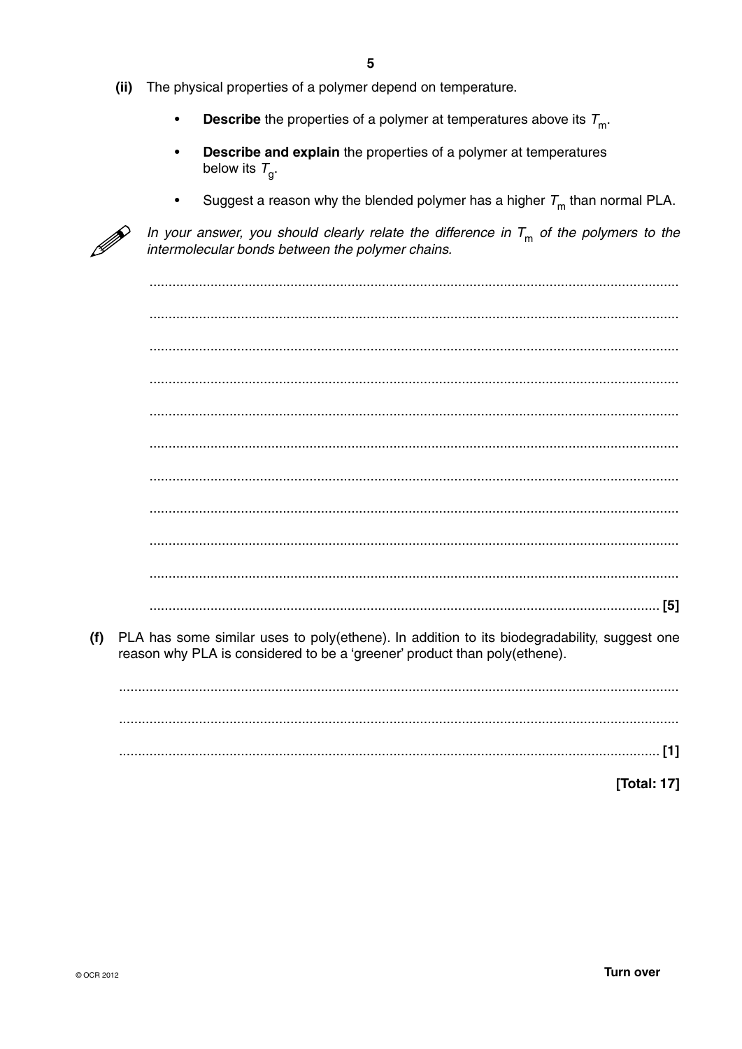- $(ii)$ The physical properties of a polymer depend on temperature.
	- **Describe** the properties of a polymer at temperatures above its  $T_{\text{m}}$ .
	- Describe and explain the properties of a polymer at temperatures below its  $T_{\alpha}$ .
	- Suggest a reason why the blended polymer has a higher  $T<sub>m</sub>$  than normal PLA.



In your answer, you should clearly relate the difference in  $T_m$  of the polymers to the intermolecular bonds between the polymer chains.

PLA has some similar uses to poly(ethene). In addition to its biodegradability, suggest one  $(f)$ reason why PLA is considered to be a 'greener' product than poly(ethene).

[Total: 17]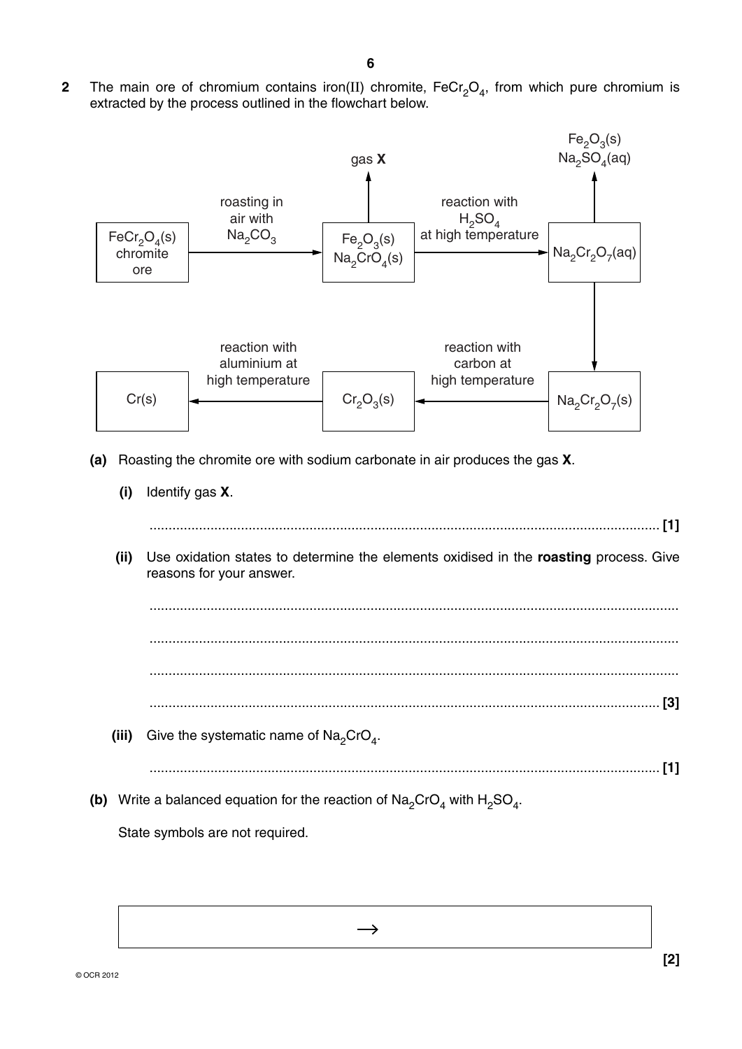**2** The main ore of chromium contains iron(II) chromite,  $FeCr<sub>2</sub>O<sub>4</sub>$ , from which pure chromium is extracted by the process outlined in the flowchart below.

**6**



 **(ii)** Use oxidation states to determine the elements oxidised in the **roasting** process. Give reasons for your answer.

 ........................................................................................................................................... ........................................................................................................................................... ........................................................................................................................................... ...................................................................................................................................... **[3]** (iii) Give the systematic name of  $\text{Na}_2\text{CrO}_4$ .

 $\rightarrow$ 

**(b)** Write a balanced equation for the reaction of  $\text{Na}_2\text{CrO}_4$  with  $\text{H}_2\text{SO}_4$ .

State symbols are not required.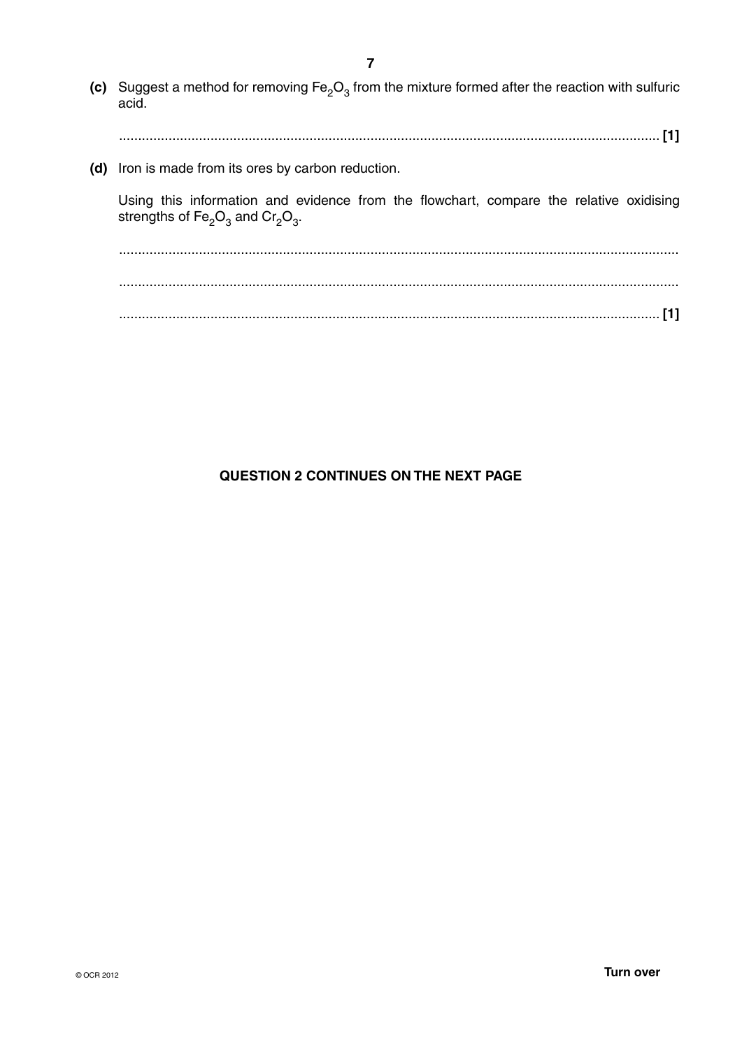**(c)** Suggest a method for removing  $Fe<sub>2</sub>O<sub>3</sub>$  from the mixture formed after the reaction with sulfuric acid. .............................................................................................................................................. **[1] (d)** Iron is made from its ores by carbon reduction. Using this information and evidence from the flowchart, compare the relative oxidising strengths of  $Fe<sub>2</sub>O<sub>3</sub>$  and  $Cr<sub>2</sub>O<sub>3</sub>$ . ................................................................................................................................................... ................................................................................................................................................... .............................................................................................................................................. **[1]**

# **QUESTION 2 CONTINUES ON THE NEXT PAGE**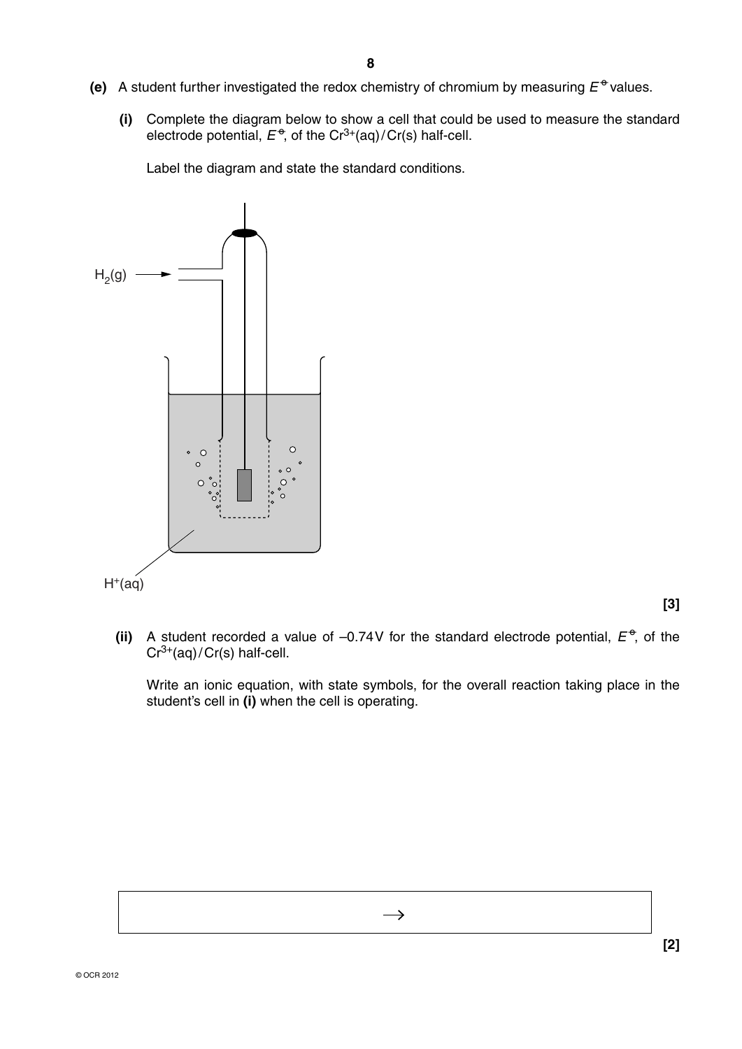- **(e)** A student further investigated the redox chemistry of chromium by measuring  $E^{\Phi}$  values.
	- **(i)** Complete the diagram below to show a cell that could be used to measure the standard electrode potential,  $E^{\theta}$ , of the Cr<sup>3+</sup>(aq)/Cr(s) half-cell.

Label the diagram and state the standard conditions.



**[3]**

(ii) A student recorded a value of  $-0.74V$  for the standard electrode potential,  $E^{\phi}$ , of the  $Cr^{3+}(aq)/Cr(s)$  half-cell.

> Write an ionic equation, with state symbols, for the overall reaction taking place in the student's cell in **(i)** when the cell is operating.

> > $\rightarrow$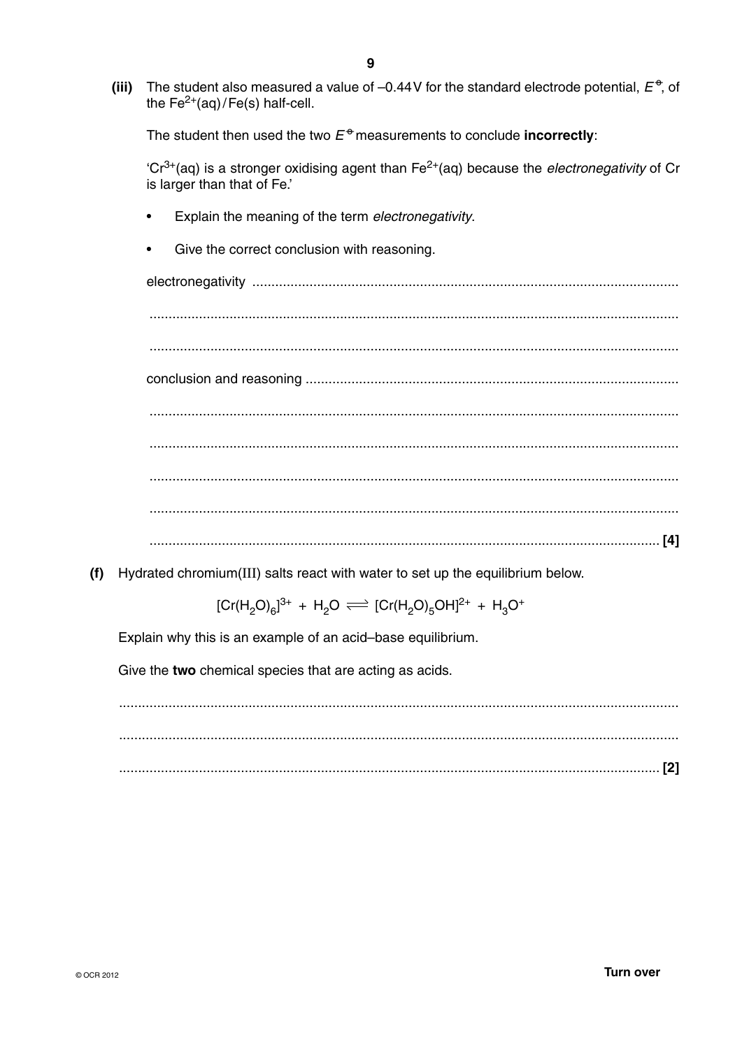$(iii)$ The student also measured a value of -0.44V for the standard electrode potential,  $E^{\theta}$ , of the  $Fe^{2+}(aq)/Fe(s)$  half-cell.

The student then used the two  $E^{\oplus}$  measurements to conclude **incorrectly**:

 $Cr^{3+}$ (aq) is a stronger oxidising agent than Fe<sup>2+</sup>(aq) because the *electronegativity* of Cr is larger than that of Fe.'

- Explain the meaning of the term electronegativity.
- Give the correct conclusion with reasoning.

(f) Hydrated chromium(III) salts react with water to set up the equilibrium below.

 $[Cr(H<sub>2</sub>O)<sub>6</sub>]^{3+} + H<sub>2</sub>O \rightleftharpoons [Cr(H<sub>2</sub>O)<sub>5</sub>OH]<sup>2+</sup> + H<sub>3</sub>O<sup>+</sup>$ 

Explain why this is an example of an acid-base equilibrium.

Give the two chemical species that are acting as acids.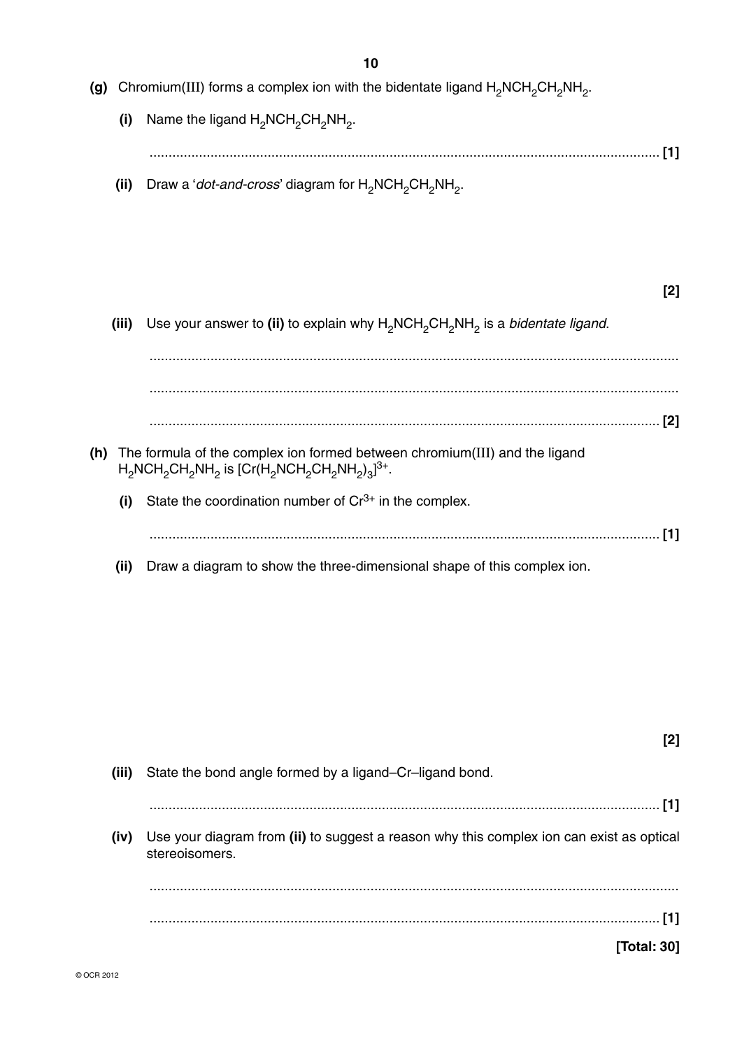**(g)** Chromium(III) forms a complex ion with the bidentate ligand H<sub>2</sub>NCH<sub>2</sub>CH<sub>2</sub>NH<sub>2</sub>.

**(i)** Name the ligand H<sub>2</sub>NCH<sub>2</sub>CH<sub>2</sub>NH<sub>2</sub>. ...................................................................................................................................... **[1]**

**(ii)** Draw a '*dot-and-cross*' diagram for H<sub>2</sub>NCH<sub>2</sub>CH<sub>2</sub>NH<sub>2</sub>.

# **[2]**

**(iii)** Use your answer to (ii) to explain why H<sub>2</sub>NCH<sub>2</sub>CH<sub>2</sub>NH<sub>2</sub> is a *bidentate ligand*.

 ........................................................................................................................................... ........................................................................................................................................... ...................................................................................................................................... **[2] (h)** The formula of the complex ion formed between chromium(III) and the ligand  $\text{H}_{2}$ NCH $_{2}$ CH $_{2}$ NH $_{2}$  is [Cr(H $_{2}$ NCH $_{2}$ CH $_{2}$ NH $_{2})_{3}$ ] $^{3+}.$ **(i)** State the coordination number of Cr<sup>3+</sup> in the complex. ...................................................................................................................................... **[1] (ii)** Draw a diagram to show the three-dimensional shape of this complex ion.

| [2]                                                                                                        |       |
|------------------------------------------------------------------------------------------------------------|-------|
| State the bond angle formed by a ligand–Cr–ligand bond.                                                    | (iii) |
|                                                                                                            |       |
| Use your diagram from (ii) to suggest a reason why this complex ion can exist as optical<br>stereoisomers. | (iv)  |
|                                                                                                            |       |
|                                                                                                            |       |
| lTotal: 301                                                                                                |       |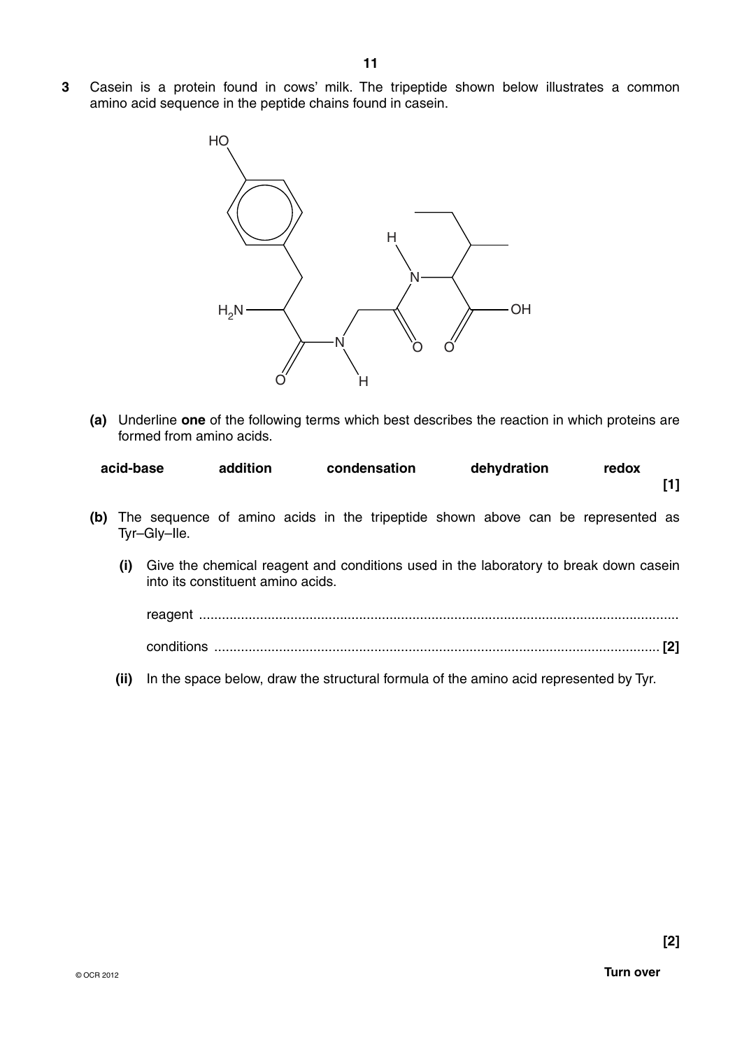**3** Casein is a protein found in cows' milk. The tripeptide shown below illustrates a common amino acid sequence in the peptide chains found in casein.



 **(a)** Underline **one** of the following terms which best describes the reaction in which proteins are formed from amino acids.

| acid-base | addition | condensation | dehydration | redox |  |
|-----------|----------|--------------|-------------|-------|--|
|           |          |              |             |       |  |

- **(b)** The sequence of amino acids in the tripeptide shown above can be represented as Tyr–Gly–Ile.
	- **(i)** Give the chemical reagent and conditions used in the laboratory to break down casein into its constituent amino acids.

reagent .............................................................................................................................. conditions ..................................................................................................................... **[2]**

 **(ii)** In the space below, draw the structural formula of the amino acid represented by Tyr.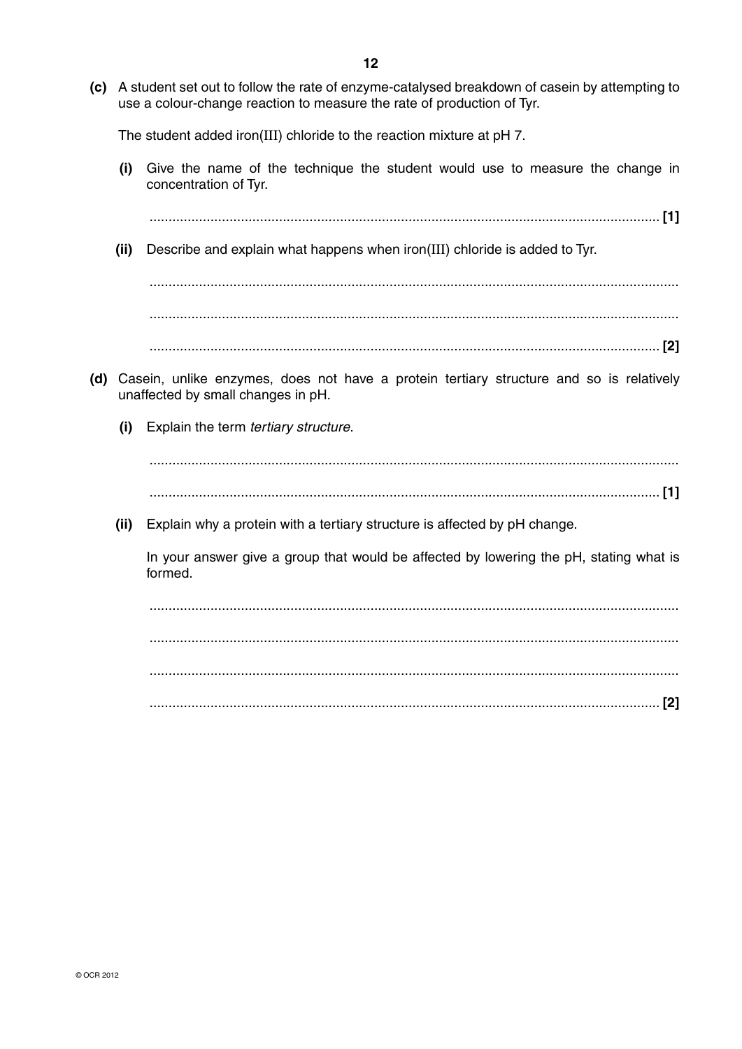**(c)** A student set out to follow the rate of enzyme-catalysed breakdown of casein by attempting to use a colour-change reaction to measure the rate of production of Tyr.

The student added iron(III) chloride to the reaction mixture at pH 7.

 **(i)** Give the name of the technique the student would use to measure the change in concentration of Tyr.

...................................................................................................................................... **[1]**

 **(ii)** Describe and explain what happens when iron(III) chloride is added to Tyr.

 ........................................................................................................................................... ...........................................................................................................................................

...................................................................................................................................... **[2]**

- **(d)** Casein, unlike enzymes, does not have a protein tertiary structure and so is relatively unaffected by small changes in pH.
	- **(i)** Explain the term *tertiary structure*.

 ........................................................................................................................................... ...................................................................................................................................... **[1]**

 **(ii)** Explain why a protein with a tertiary structure is affected by pH change.

In your answer give a group that would be affected by lowering the pH, stating what is formed.

 ........................................................................................................................................... ........................................................................................................................................... ........................................................................................................................................... ...................................................................................................................................... **[2]**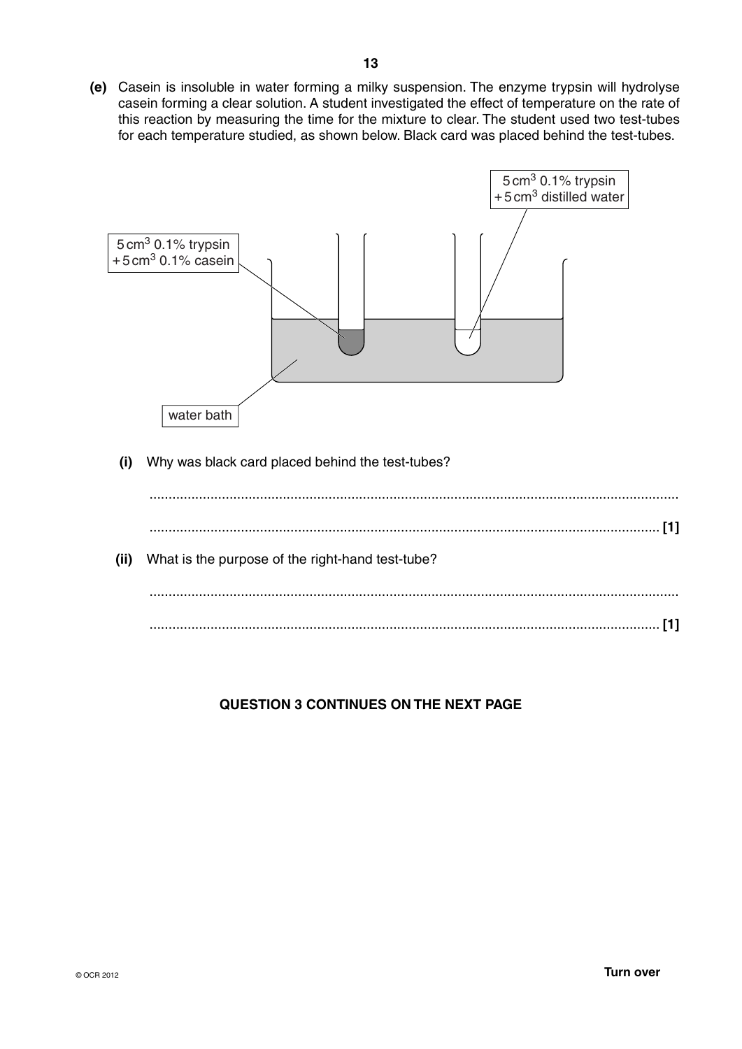**(e)** Casein is insoluble in water forming a milky suspension. The enzyme trypsin will hydrolyse casein forming a clear solution. A student investigated the effect of temperature on the rate of this reaction by measuring the time for the mixture to clear. The student used two test-tubes for each temperature studied, as shown below. Black card was placed behind the test-tubes.



# **QUESTION 3 CONTINUES ON THE NEXT PAGE**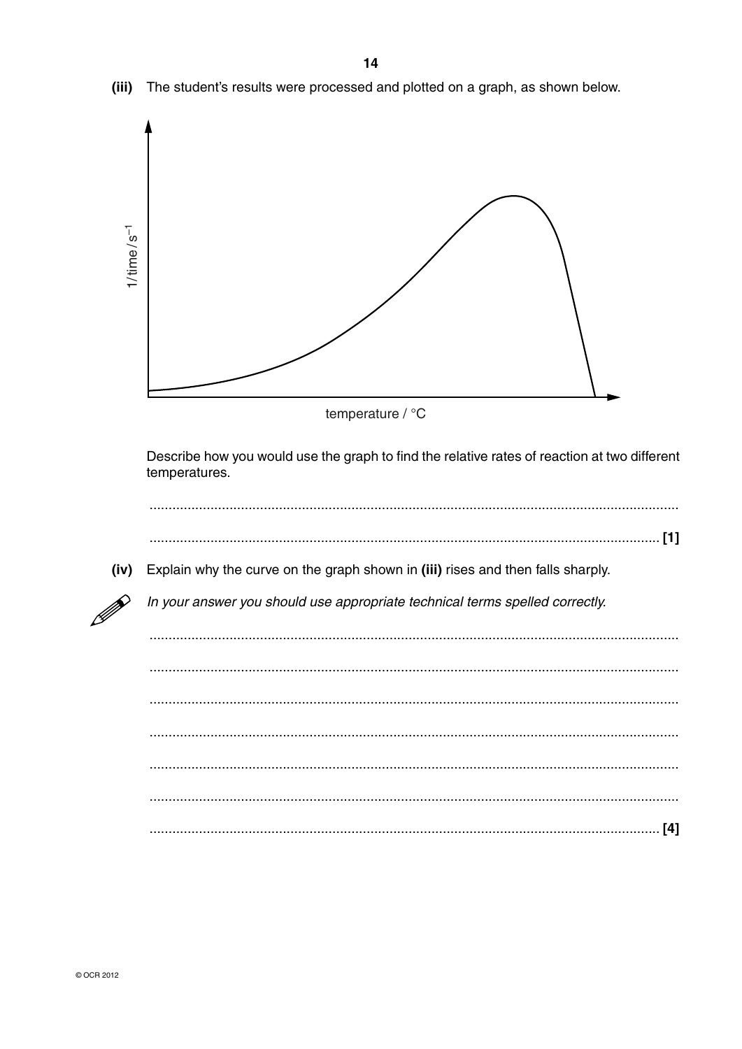

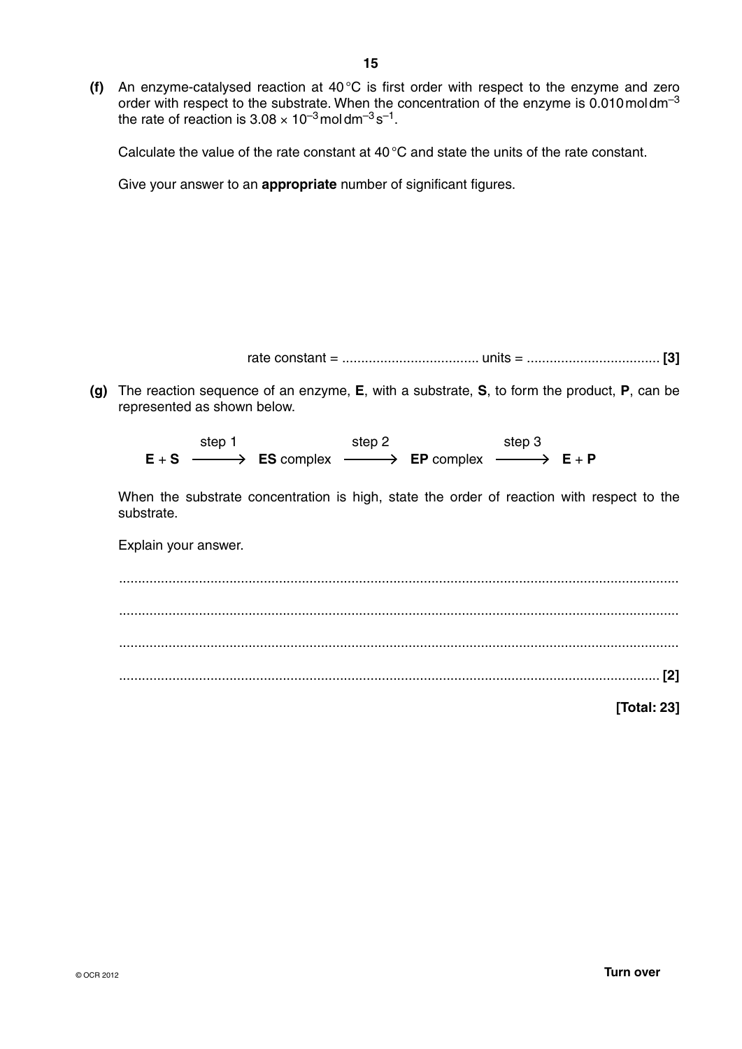Calculate the value of the rate constant at 40 °C and state the units of the rate constant.

Give your answer to an **appropriate** number of significant figures.

rate constant = .................................... units = ................................... **[3]**

 **(g)** The reaction sequence of an enzyme, **E**, with a substrate, **S**, to form the product, **P**, can be represented as shown below.

step 1 step 2 step 3  $E + S \longrightarrow E$ S complex  $\longrightarrow E$ P complex  $\longrightarrow E + P$ 

When the substrate concentration is high, state the order of reaction with respect to the substrate.

Explain your answer.

 ................................................................................................................................................... ................................................................................................................................................... ................................................................................................................................................... .............................................................................................................................................. **[2]**

**[Total: 23]**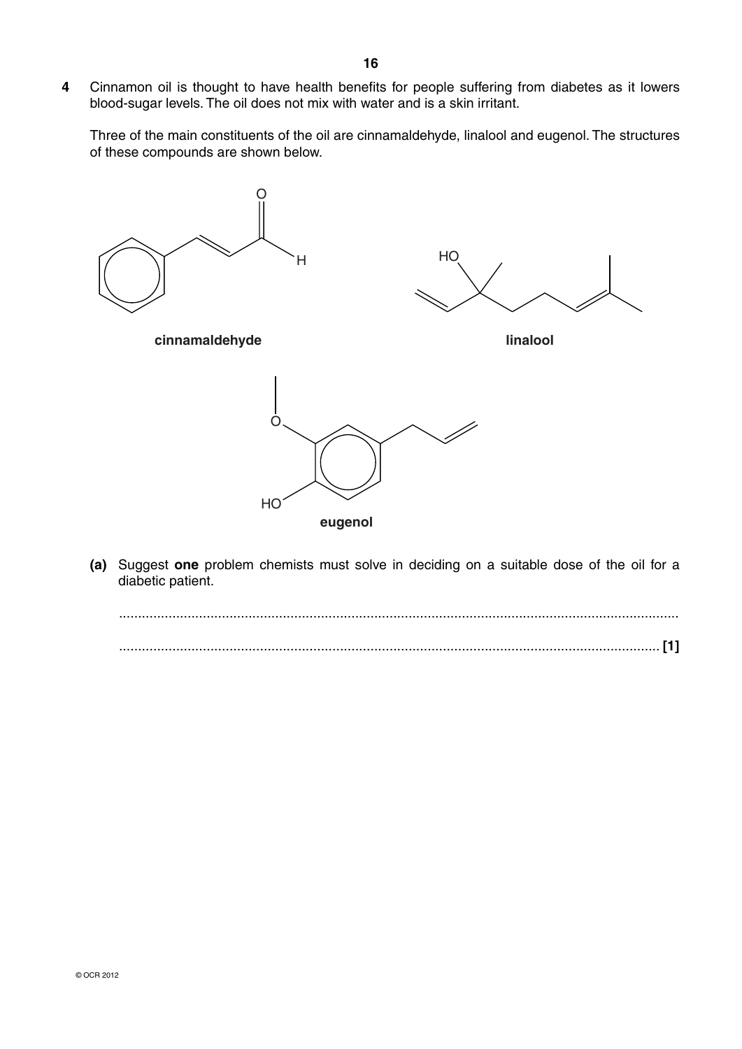**4** Cinnamon oil is thought to have health benefits for people suffering from diabetes as it lowers blood-sugar levels. The oil does not mix with water and is a skin irritant.

Three of the main constituents of the oil are cinnamaldehyde, linalool and eugenol. The structures of these compounds are shown below.



 **(a)** Suggest **one** problem chemists must solve in deciding on a suitable dose of the oil for a diabetic patient.

 ................................................................................................................................................... .............................................................................................................................................. **[1]**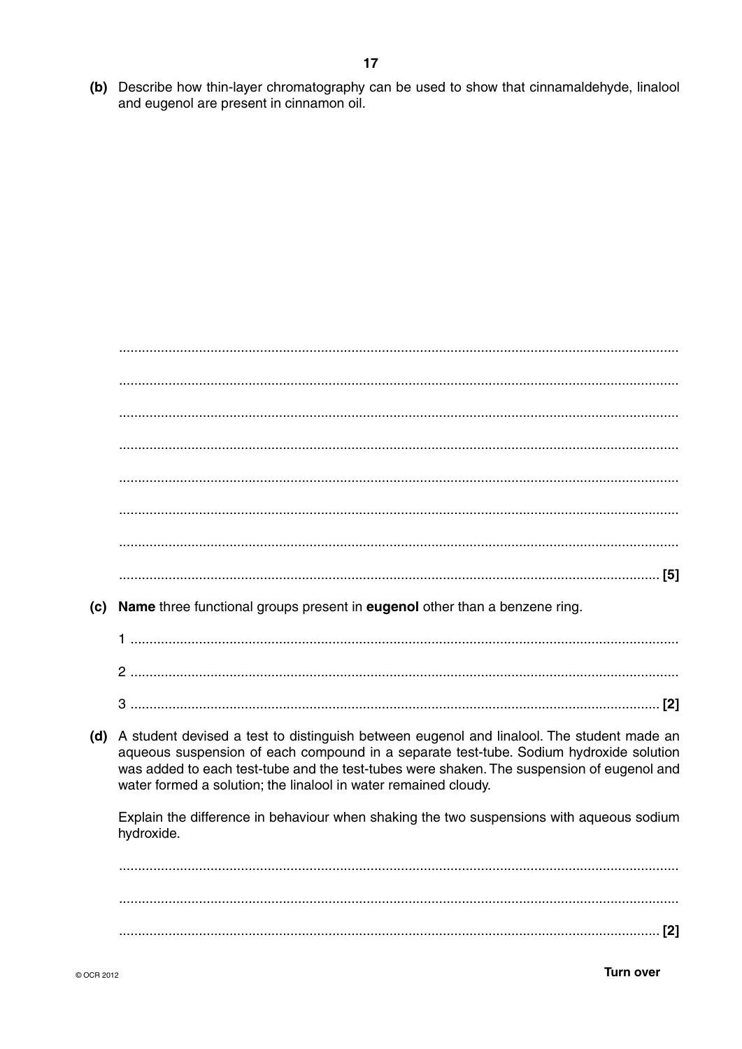(b) Describe how thin-layer chromatography can be used to show that cinnamaldehyde, linalool and eugenol are present in cinnamon oil.

| (c) | Name three functional groups present in eugenol other than a benzene ring.                                                                                                                                                                                                                                                                          |
|-----|-----------------------------------------------------------------------------------------------------------------------------------------------------------------------------------------------------------------------------------------------------------------------------------------------------------------------------------------------------|
|     |                                                                                                                                                                                                                                                                                                                                                     |
|     |                                                                                                                                                                                                                                                                                                                                                     |
|     |                                                                                                                                                                                                                                                                                                                                                     |
| (d) | A student devised a test to distinguish between eugenol and linalool. The student made an<br>aqueous suspension of each compound in a separate test-tube. Sodium hydroxide solution<br>was added to each test-tube and the test-tubes were shaken. The suspension of eugenol and<br>water formed a solution; the linalool in water remained cloudy. |
|     | Explain the difference in behaviour when shaking the two suspensions with aqueous sodium<br>hydroxide.                                                                                                                                                                                                                                              |
|     |                                                                                                                                                                                                                                                                                                                                                     |
|     |                                                                                                                                                                                                                                                                                                                                                     |
|     |                                                                                                                                                                                                                                                                                                                                                     |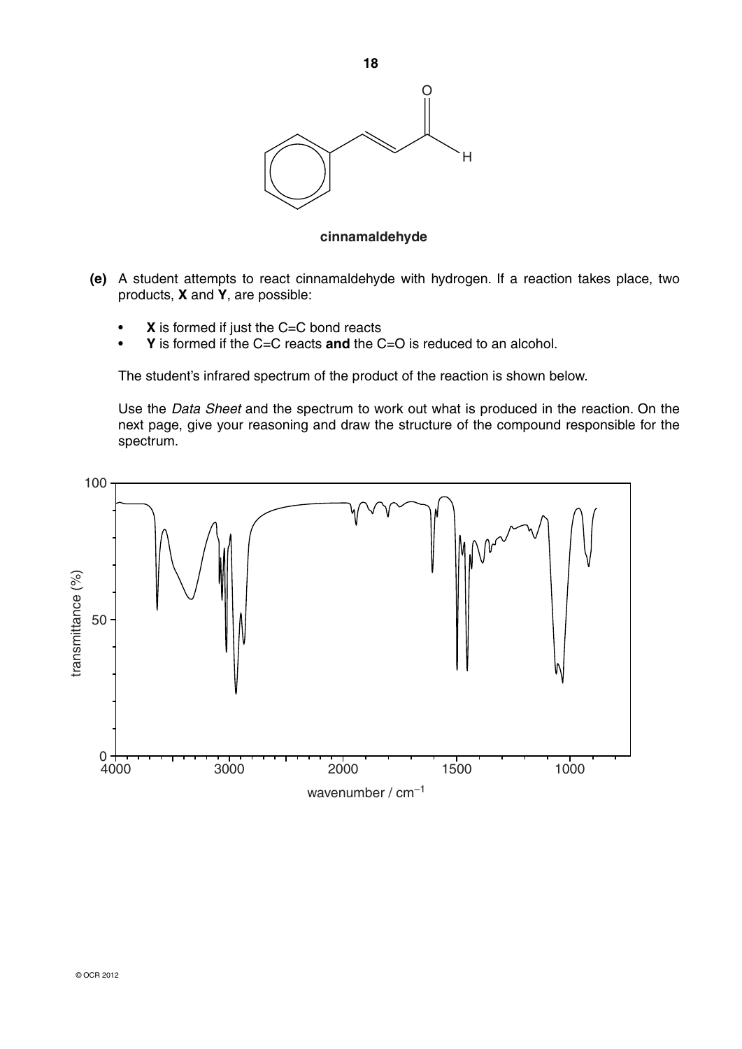

### **cinnamaldehyde**

- **(e)** A student attempts to react cinnamaldehyde with hydrogen. If a reaction takes place, two products, **X** and **Y**, are possible:
	- **X** is formed if just the C=C bond reacts
	- **Y** is formed if the C=C reacts **and** the C=O is reduced to an alcohol.

The student's infrared spectrum of the product of the reaction is shown below.

Use the *Data Sheet* and the spectrum to work out what is produced in the reaction. On the next page, give your reasoning and draw the structure of the compound responsible for the spectrum.

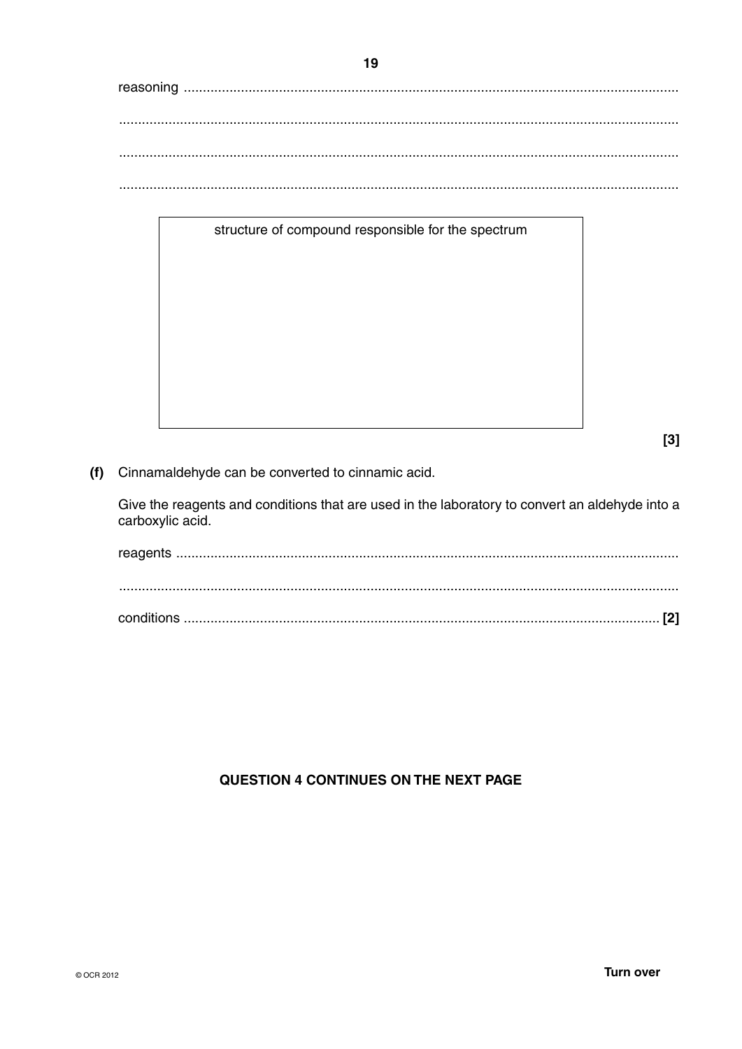# structure of compound responsible for the spectrum

 $[3]$ 

(f) Cinnamaldehyde can be converted to cinnamic acid.

Give the reagents and conditions that are used in the laboratory to convert an aldehyde into a carboxylic acid.

## QUESTION 4 CONTINUES ON THE NEXT PAGE